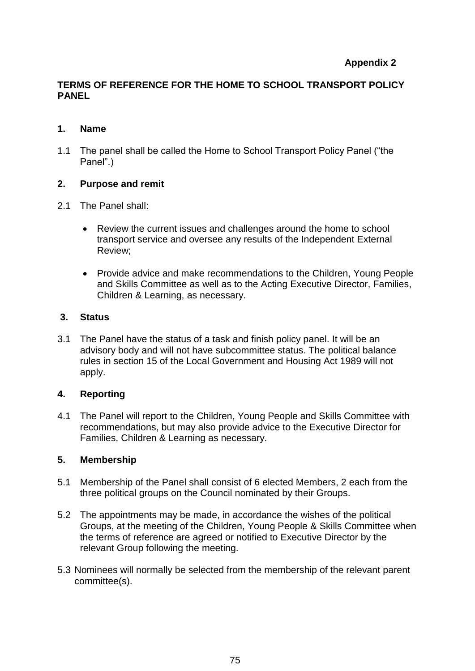# **Appendix 2**

## **TERMS OF REFERENCE FOR THE HOME TO SCHOOL TRANSPORT POLICY PANEL**

### **1. Name**

1.1 The panel shall be called the Home to School Transport Policy Panel ("the Panel".)

### **2. Purpose and remit**

- 2.1 The Panel shall:
	- Review the current issues and challenges around the home to school transport service and oversee any results of the Independent External Review;
	- Provide advice and make recommendations to the Children, Young People and Skills Committee as well as to the Acting Executive Director, Families, Children & Learning, as necessary.

### **3. Status**

3.1 The Panel have the status of a task and finish policy panel. It will be an advisory body and will not have subcommittee status. The political balance rules in section 15 of the Local Government and Housing Act 1989 will not apply.

### **4. Reporting**

4.1 The Panel will report to the Children, Young People and Skills Committee with recommendations, but may also provide advice to the Executive Director for Families, Children & Learning as necessary.

### **5. Membership**

- 5.1 Membership of the Panel shall consist of 6 elected Members, 2 each from the three political groups on the Council nominated by their Groups.
- 5.2 The appointments may be made, in accordance the wishes of the political Groups, at the meeting of the Children, Young People & Skills Committee when the terms of reference are agreed or notified to Executive Director by the relevant Group following the meeting.
- 5.3 Nominees will normally be selected from the membership of the relevant parent committee(s).